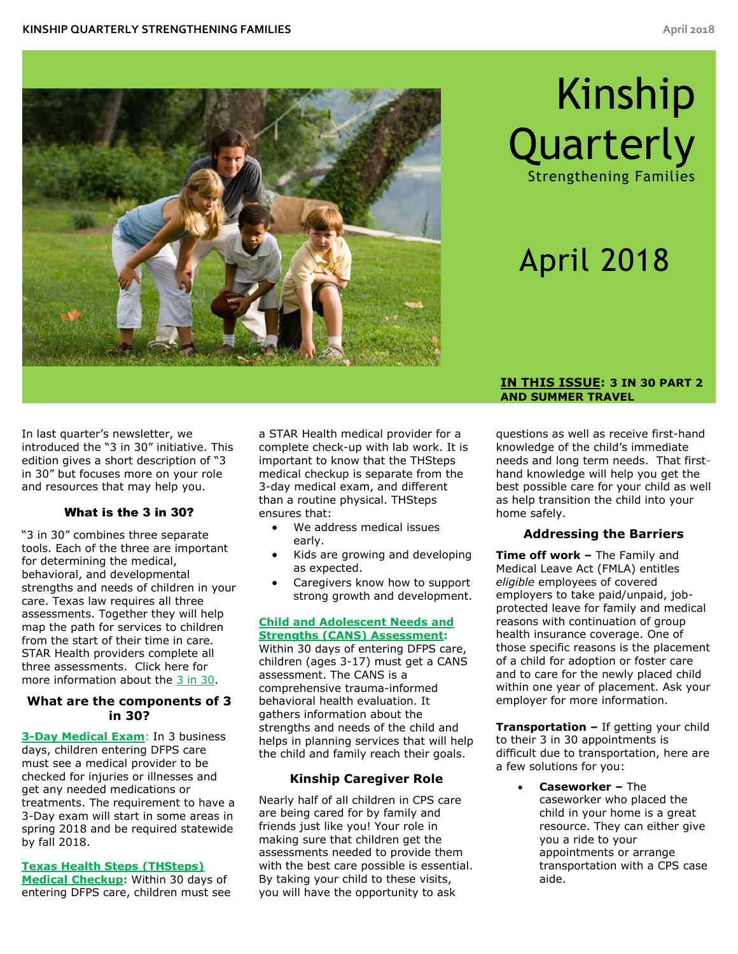

# Kinship **Quarterly**

Strengthening Families

# April 2018

In last quarter's newsletter, we introduced the "3 in 30" initiative. This edition gives a short description of "3 in 30" but focuses more on your role and resources that may help you.

#### What is the 3 in 30?

"3 in 30" combines three separate tools. Each of the three are important for determining the medical, behavioral, and developmental strengths and needs of children in your care. Texas law requires all three assessments. Together they will help map the path for services to children from the start of their time in care. STAR Health providers complete all three assessments. Click here for more information about the [3 in 30.](https://www.dfps.state.tx.us/Child_Protection/Medical_Services/guide-3-in-30.asp)

#### **What are the components of 3 in 30?**

**[3-Day Medical Exam](https://www.dfps.state.tx.us/Child_Protection/Medical_Services/guide-3-day_exam.asp)**: In 3 business days, children entering DFPS care must see a medical provider to be checked for injuries or illnesses and get any needed medications or treatments. The requirement to have a 3-Day exam will start in some areas in spring 2018 and be required statewide by fall 2018.

**[Texas Health Steps \(THSteps\)](https://www.dfps.state.tx.us/Child_Protection/Medical_Services/guide-steps.asp)  [Medical Checkup:](https://www.dfps.state.tx.us/Child_Protection/Medical_Services/guide-steps.asp)** Within 30 days of entering DFPS care, children must see a STAR Health medical provider for a complete check-up with lab work. It is important to know that the THSteps medical checkup is separate from the 3-day medical exam, and different than a routine physical. THSteps ensures that:

- We address medical issues early.
- Kids are growing and developing as expected.
- Caregivers know how to support strong growth and development.

#### **[Child and Adolescent Needs and](https://www.dfps.state.tx.us/Child_Protection/Medical_Services/guide-cans.asp)  [Strengths \(CANS\) Assessment:](https://www.dfps.state.tx.us/Child_Protection/Medical_Services/guide-cans.asp)**

Within 30 days of entering DFPS care, children (ages 3-17) must get a CANS assessment. The CANS is a comprehensive trauma-informed behavioral health evaluation. It gathers information about the strengths and needs of the child and helps in planning services that will help the child and family reach their goals.

# **Kinship Caregiver Role**

Nearly half of all children in CPS care are being cared for by family and friends just like you! Your role in making sure that children get the assessments needed to provide them with the best care possible is essential. By taking your child to these visits, you will have the opportunity to ask

#### **IN THIS ISSUE: 3 IN 30 PART 2 AND SUMMER TRAVEL**

questions as well as receive first-hand knowledge of the child's immediate needs and long term needs. That firsthand knowledge will help you get the best possible care for your child as well as help transition the child into your home safely.

# **Addressing the Barriers**

**Time off work –** The Family and Medical Leave Act (FMLA) entitles *eligible* employees of covered employers to take paid/unpaid, jobprotected leave for family and medical reasons with continuation of group health insurance coverage. One of those specific reasons is the placement of a child for adoption or foster care and to care for the newly placed child within one year of placement. Ask your employer for more information.

**Transportation –** If getting your child to their 3 in 30 appointments is difficult due to transportation, here are a few solutions for you:

 **Caseworker –** The caseworker who placed the child in your home is a great resource. They can either give you a ride to your appointments or arrange transportation with a CPS case aide.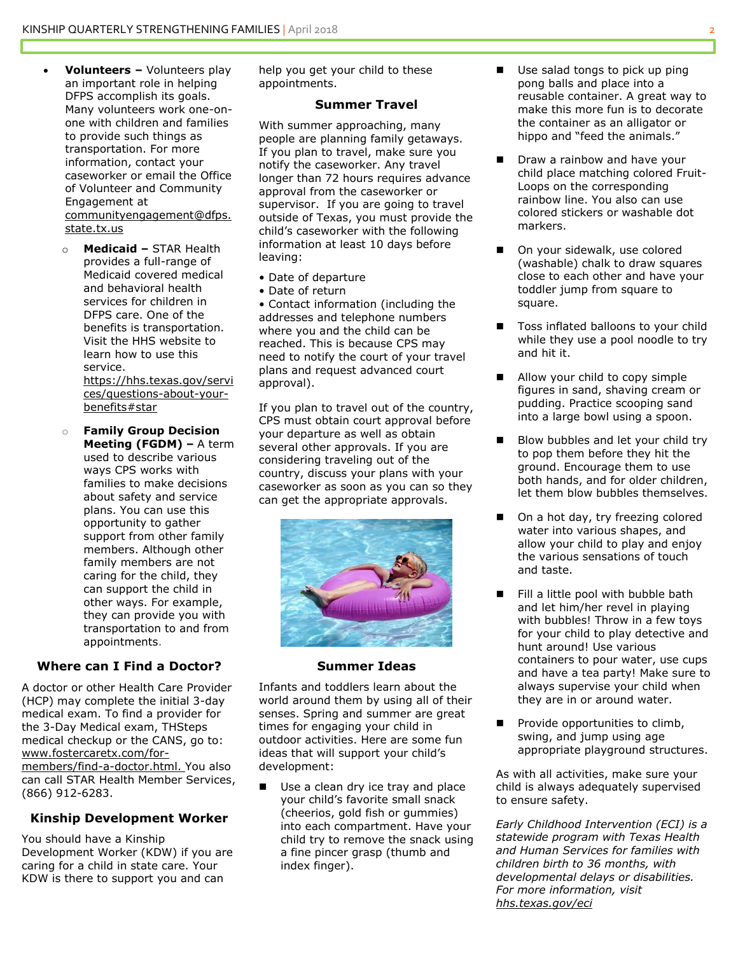- **Volunteers –** Volunteers play an important role in helping DFPS accomplish its goals. Many volunteers work one-onone with children and families to provide such things as transportation. For more information, contact your caseworker or email the Office of Volunteer and Community Engagement at [communityengagement@dfps.](mailto:communityengagement@dfps.state.tx.us) [state.tx.us](mailto:communityengagement@dfps.state.tx.us)
	- o **Medicaid –** STAR Health provides a full-range of Medicaid covered medical and behavioral health services for children in DFPS care. One of the benefits is transportation. Visit the HHS website to learn how to use this service. [https://hhs.texas.gov/servi](https://hhs.texas.gov/services/questions-about-your-benefits#star)

[ces/questions-about-your](https://hhs.texas.gov/services/questions-about-your-benefits#star)[benefits#star](https://hhs.texas.gov/services/questions-about-your-benefits#star)

o **Family Group Decision Meeting (FGDM) –** A term used to describe various ways CPS works with families to make decisions about safety and service plans. You can use this opportunity to gather support from other family members. Although other family members are not caring for the child, they can support the child in other ways. For example, they can provide you with transportation to and from appointments.

# **Where can I Find a Doctor?**

A doctor or other Health Care Provider (HCP) may complete the initial 3-day medical exam. To find a provider for the 3-Day Medical exam, THSteps medical checkup or the CANS, go to: [www.fostercaretx.com/for](https://www.fostercaretx.com/for-members/find-a-doctor.html)[members/find-a-doctor.html.](https://www.fostercaretx.com/for-members/find-a-doctor.html) You also can call STAR Health Member Services, (866) 912-6283.

# **Kinship Development Worker**

You should have a Kinship Development Worker (KDW) if you are caring for a child in state care. Your KDW is there to support you and can

help you get your child to these appointments.

#### **Summer Travel**

With summer approaching, many people are planning family getaways. If you plan to travel, make sure you notify the caseworker. Any travel longer than 72 hours requires advance approval from the caseworker or supervisor. If you are going to travel outside of Texas, you must provide the child's caseworker with the following information at least 10 days before leaving:

- Date of departure
- Date of return

• Contact information (including the addresses and telephone numbers where you and the child can be reached. This is because CPS may need to notify the court of your travel plans and request advanced court approval).

If you plan to travel out of the country, CPS must obtain court approval before your departure as well as obtain several other approvals. If you are considering traveling out of the country, discuss your plans with your caseworker as soon as you can so they can get the appropriate approvals.



#### **Summer Ideas**

Infants and toddlers learn about the world around them by using all of their senses. Spring and summer are great times for engaging your child in outdoor activities. Here are some fun ideas that will support your child's development:

■ Use a clean dry ice tray and place your child's favorite small snack (cheerios, gold fish or gummies) into each compartment. Have your child try to remove the snack using a fine pincer grasp (thumb and index finger).

- Use salad tongs to pick up ping pong balls and place into a reusable container. A great way to make this more fun is to decorate the container as an alligator or hippo and "feed the animals."
- **Draw a rainbow and have your** child place matching colored Fruit-Loops on the corresponding rainbow line. You also can use colored stickers or washable dot markers.
- On your sidewalk, use colored (washable) chalk to draw squares close to each other and have your toddler jump from square to square.
- Toss inflated balloons to your child while they use a pool noodle to try and hit it.
- Allow your child to copy simple figures in sand, shaving cream or pudding. Practice scooping sand into a large bowl using a spoon.
- Blow bubbles and let your child try to pop them before they hit the ground. Encourage them to use both hands, and for older children, let them blow bubbles themselves.
- On a hot day, try freezing colored water into various shapes, and allow your child to play and enjoy the various sensations of touch and taste.
- Fill a little pool with bubble bath and let him/her revel in playing with bubbles! Throw in a few toys for your child to play detective and hunt around! Use various containers to pour water, use cups and have a tea party! Make sure to always supervise your child when they are in or around water.
- $\blacksquare$  Provide opportunities to climb, swing, and jump using age appropriate playground structures.

As with all activities, make sure your child is always adequately supervised to ensure safety.

*Early Childhood Intervention (ECI) is a statewide program with Texas Health and Human Services for families with children birth to 36 months, with developmental delays or disabilities. For more information, visit [hhs.texas.gov/eci](https://hhs.texas.gov/services/disability/early-childhood-intervention-services)*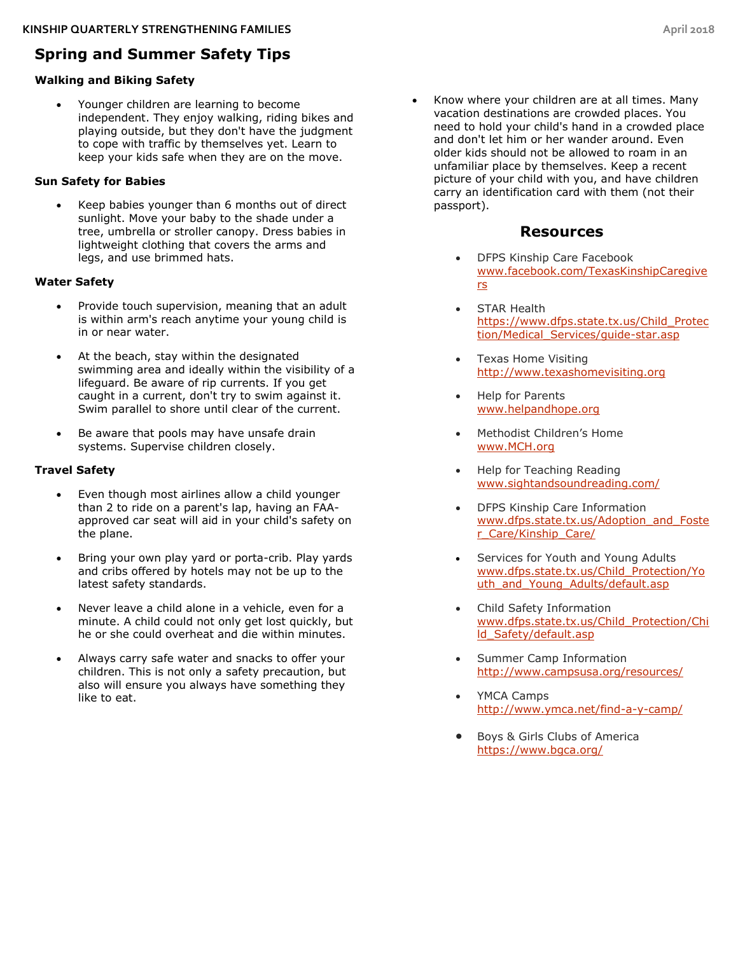# **Spring and Summer Safety Tips**

# **Walking and Biking Safety**

 Younger children are learning to become independent. They enjoy walking, riding bikes and playing outside, but they don't have the judgment to cope with traffic by themselves yet. Learn to keep your kids safe when they are on the move.

# **Sun Safety for Babies**

 Keep babies younger than 6 months out of direct sunlight. Move your baby to the shade under a tree, umbrella or stroller canopy. Dress babies in lightweight clothing that covers the arms and legs, and use brimmed hats.

# **Water Safety**

- Provide touch supervision, meaning that an adult is within arm's reach anytime your young child is in or near water.
- At the beach, stay within the designated swimming area and ideally within the visibility of a lifeguard. Be aware of rip currents. If you get caught in a current, don't try to swim against it. Swim parallel to shore until clear of the current.
- Be aware that pools may have unsafe drain systems. Supervise children closely.

# **Travel Safety**

- Even though most airlines allow a child younger than 2 to ride on a parent's lap, having an FAAapproved car seat will aid in your child's safety on the plane.
- Bring your own play yard or porta-crib. Play yards and cribs offered by hotels may not be up to the latest safety standards.
- Never leave a child alone in a vehicle, even for a minute. A child could not only get lost quickly, but he or she could overheat and die within minutes.
- Always carry safe water and snacks to offer your children. This is not only a safety precaution, but also will ensure you always have something they like to eat.

• Know where your children are at all times. Many vacation destinations are crowded places. You need to hold your child's hand in a crowded place and don't let him or her wander around. Even older kids should not be allowed to roam in an unfamiliar place by themselves. Keep a recent picture of your child with you, and have children carry an identification card with them (not their passport).

# **Resources**

- DFPS Kinship Care Facebook [www.facebook.com/TexasKinshipCaregive](http://www.facebook.com/TexasKinshipCaregivers) [rs](http://www.facebook.com/TexasKinshipCaregivers)
- STAR Health [https://www.dfps.state.tx.us/Child\\_Protec](https://www.dfps.state.tx.us/Child_Protection/Medical_Services/guide-star.asp) [tion/Medical\\_Services/guide-star.asp](https://www.dfps.state.tx.us/Child_Protection/Medical_Services/guide-star.asp)
- Texas Home Visiting [http://www.texashomevisiting.org](http://www.texashomevisiting.org/)
- Help for Parents [www.helpandhope.org](http://www.helpandhope.org/)
- Methodist Children's Home [www.MCH.org](http://www.mch.org/)
- Help for Teaching Reading [www.sightandsoundreading.com/](http://www.sightandsoundreading.com/)
- DFPS Kinship Care Information [www.dfps.state.tx.us/Adoption\\_and\\_Foste](http://www.dfps.state.tx.us/Adoption_and_Foster_Care/Kinship_Care/) [r\\_Care/Kinship\\_Care/](http://www.dfps.state.tx.us/Adoption_and_Foster_Care/Kinship_Care/)
- Services for Youth and Young Adults [www.dfps.state.tx.us/Child\\_Protection/Yo](http://www.dfps.state.tx.us/Child_Protection/Youth_and_Young_Adults/default.asp) uth and Young Adults/default.asp
- Child Safety Information [www.dfps.state.tx.us/Child\\_Protection/Chi](http://www.dfps.state.tx.us/Child_Protection/Child_Safety/default.asp) [ld\\_Safety/default.asp](http://www.dfps.state.tx.us/Child_Protection/Child_Safety/default.asp)
- Summer Camp Information <http://www.campsusa.org/resources/>
- YMCA Camps <http://www.ymca.net/find-a-y-camp/>
- Boys & Girls Clubs of America <https://www.bgca.org/>